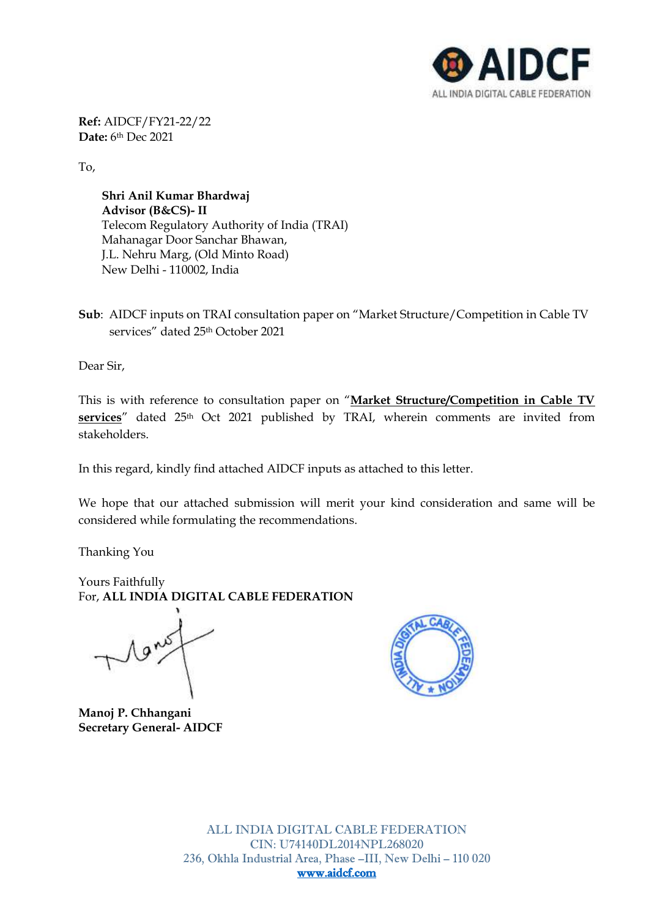

**Ref:** AIDCF/FY21-22/22 **Date:** 6th Dec 2021

To,

**Shri Anil Kumar Bhardwaj Advisor (B&CS)- II** Telecom Regulatory Authority of India (TRAI) Mahanagar Door Sanchar Bhawan, J.L. Nehru Marg, (Old Minto Road) New Delhi - 110002, India

**Sub**: AIDCF inputs on TRAI consultation paper on "Market Structure/Competition in Cable TV services" dated 25th October 2021

Dear Sir,

This is with reference to consultation paper on "**Market Structure/Competition in Cable TV**  services" dated 25<sup>th</sup> Oct 2021 published by TRAI, wherein comments are invited from stakeholders.

In this regard, kindly find attached AIDCF inputs as attached to this letter.

We hope that our attached submission will merit your kind consideration and same will be considered while formulating the recommendations.

Thanking You

Yours Faithfully For, **ALL INDIA DIGITAL CABLE FEDERATION**

1 ans

**Manoj P. Chhangani Secretary General- AIDCF**

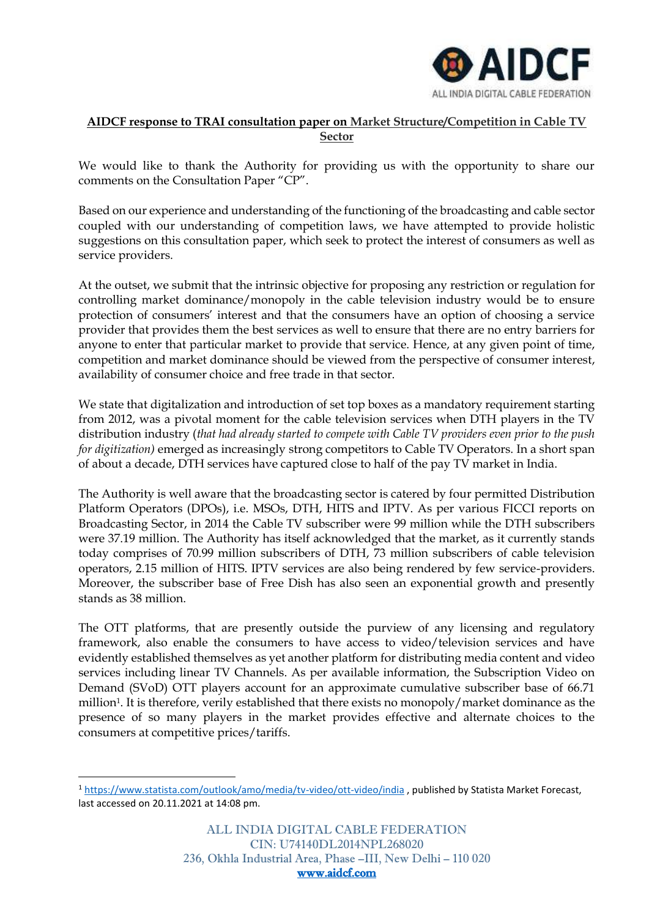

# **AIDCF response to TRAI consultation paper on Market Structure/Competition in Cable TV Sector**

We would like to thank the Authority for providing us with the opportunity to share our comments on the Consultation Paper "CP".

Based on our experience and understanding of the functioning of the broadcasting and cable sector coupled with our understanding of competition laws, we have attempted to provide holistic suggestions on this consultation paper, which seek to protect the interest of consumers as well as service providers.

At the outset, we submit that the intrinsic objective for proposing any restriction or regulation for controlling market dominance/monopoly in the cable television industry would be to ensure protection of consumers' interest and that the consumers have an option of choosing a service provider that provides them the best services as well to ensure that there are no entry barriers for anyone to enter that particular market to provide that service. Hence, at any given point of time, competition and market dominance should be viewed from the perspective of consumer interest, availability of consumer choice and free trade in that sector.

We state that digitalization and introduction of set top boxes as a mandatory requirement starting from 2012, was a pivotal moment for the cable television services when DTH players in the TV distribution industry (*that had already started to compete with Cable TV providers even prior to the push for digitization)* emerged as increasingly strong competitors to Cable TV Operators. In a short span of about a decade, DTH services have captured close to half of the pay TV market in India.

The Authority is well aware that the broadcasting sector is catered by four permitted Distribution Platform Operators (DPOs), i.e. MSOs, DTH, HITS and IPTV. As per various FICCI reports on Broadcasting Sector, in 2014 the Cable TV subscriber were 99 million while the DTH subscribers were 37.19 million. The Authority has itself acknowledged that the market, as it currently stands today comprises of 70.99 million subscribers of DTH, 73 million subscribers of cable television operators, 2.15 million of HITS. IPTV services are also being rendered by few service-providers. Moreover, the subscriber base of Free Dish has also seen an exponential growth and presently stands as 38 million.

The OTT platforms, that are presently outside the purview of any licensing and regulatory framework, also enable the consumers to have access to video/television services and have evidently established themselves as yet another platform for distributing media content and video services including linear TV Channels. As per available information, the Subscription Video on Demand (SVoD) OTT players account for an approximate cumulative subscriber base of 66.71 million1. It is therefore, verily established that there exists no monopoly/market dominance as the presence of so many players in the market provides effective and alternate choices to the consumers at competitive prices/tariffs.

<sup>1</sup> <https://www.statista.com/outlook/amo/media/tv-video/ott-video/india> , published by Statista Market Forecast, last accessed on 20.11.2021 at 14:08 pm.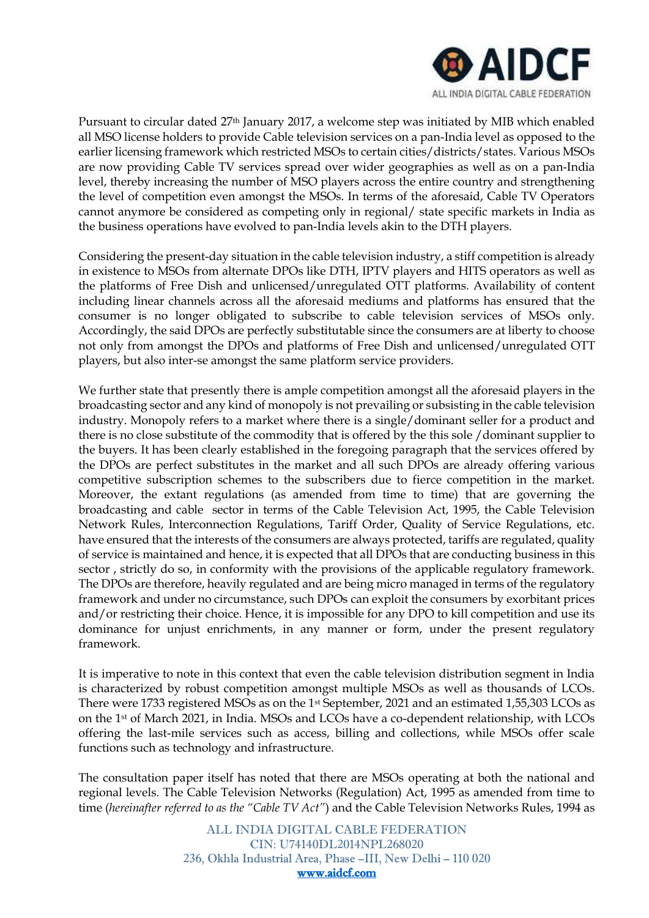

Pursuant to circular dated 27th January 2017, a welcome step was initiated by MIB which enabled all MSO license holders to provide Cable television services on a pan-India level as opposed to the earlier licensing framework which restricted MSOs to certain cities/districts/states. Various MSOs are now providing Cable TV services spread over wider geographies as well as on a pan-India level, thereby increasing the number of MSO players across the entire country and strengthening the level of competition even amongst the MSOs. In terms of the aforesaid, Cable TV Operators cannot anymore be considered as competing only in regional/ state specific markets in India as the business operations have evolved to pan-India levels akin to the DTH players.

Considering the present-day situation in the cable television industry, a stiff competition is already in existence to MSOs from alternate DPOs like DTH, IPTV players and HITS operators as well as the platforms of Free Dish and unlicensed/unregulated OTT platforms. Availability of content including linear channels across all the aforesaid mediums and platforms has ensured that the consumer is no longer obligated to subscribe to cable television services of MSOs only. Accordingly, the said DPOs are perfectly substitutable since the consumers are at liberty to choose not only from amongst the DPOs and platforms of Free Dish and unlicensed/unregulated OTT players, but also inter-se amongst the same platform service providers.

We further state that presently there is ample competition amongst all the aforesaid players in the broadcasting sector and any kind of monopoly is not prevailing or subsisting in the cable television industry. Monopoly refers to a market where there is a single/dominant seller for a product and there is no close substitute of the commodity that is offered by the this sole /dominant supplier to the buyers. It has been clearly established in the foregoing paragraph that the services offered by the DPOs are perfect substitutes in the market and all such DPOs are already offering various competitive subscription schemes to the subscribers due to fierce competition in the market. Moreover, the extant regulations (as amended from time to time) that are governing the broadcasting and cable sector in terms of the Cable Television Act, 1995, the Cable Television Network Rules, Interconnection Regulations, Tariff Order, Quality of Service Regulations, etc. have ensured that the interests of the consumers are always protected, tariffs are regulated, quality of service is maintained and hence, it is expected that all DPOs that are conducting business in this sector , strictly do so, in conformity with the provisions of the applicable regulatory framework. The DPOs are therefore, heavily regulated and are being micro managed in terms of the regulatory framework and under no circumstance, such DPOs can exploit the consumers by exorbitant prices and/or restricting their choice. Hence, it is impossible for any DPO to kill competition and use its dominance for unjust enrichments, in any manner or form, under the present regulatory framework.

It is imperative to note in this context that even the cable television distribution segment in India is characterized by robust competition amongst multiple MSOs as well as thousands of LCOs. There were 1733 registered MSOs as on the 1st September, 2021 and an estimated 1,55,303 LCOs as on the 1st of March 2021, in India. MSOs and LCOs have a co-dependent relationship, with LCOs offering the last-mile services such as access, billing and collections, while MSOs offer scale functions such as technology and infrastructure.

The consultation paper itself has noted that there are MSOs operating at both the national and regional levels. The Cable Television Networks (Regulation) Act, 1995 as amended from time to time (*hereinafter referred to as the "Cable TV Act"*) and the Cable Television Networks Rules, 1994 as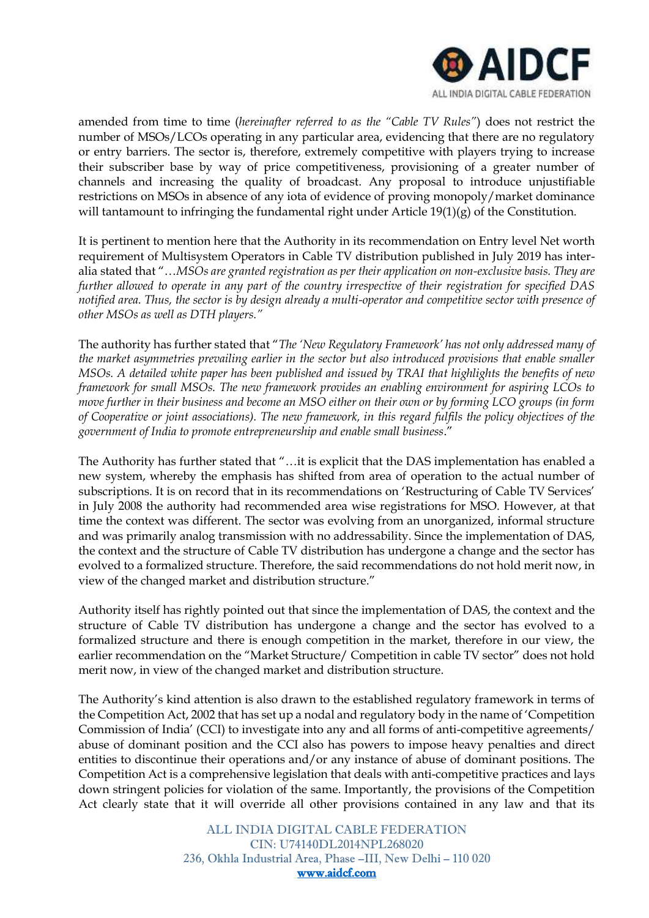

amended from time to time (*hereinafter referred to as the "Cable TV Rules"*) does not restrict the number of MSOs/LCOs operating in any particular area, evidencing that there are no regulatory or entry barriers. The sector is, therefore, extremely competitive with players trying to increase their subscriber base by way of price competitiveness, provisioning of a greater number of channels and increasing the quality of broadcast. Any proposal to introduce unjustifiable restrictions on MSOs in absence of any iota of evidence of proving monopoly/market dominance will tantamount to infringing the fundamental right under Article 19(1)(g) of the Constitution.

It is pertinent to mention here that the Authority in its recommendation on Entry level Net worth requirement of Multisystem Operators in Cable TV distribution published in July 2019 has interalia stated that "…*MSOs are granted registration as per their application on non-exclusive basis. They are further allowed to operate in any part of the country irrespective of their registration for specified DAS notified area. Thus, the sector is by design already a multi-operator and competitive sector with presence of other MSOs as well as DTH players."*

The authority has further stated that "*The 'New Regulatory Framework' has not only addressed many of the market asymmetries prevailing earlier in the sector but also introduced provisions that enable smaller MSOs. A detailed white paper has been published and issued by TRAI that highlights the benefits of new framework for small MSOs. The new framework provides an enabling environment for aspiring LCOs to move further in their business and become an MSO either on their own or by forming LCO groups (in form of Cooperative or joint associations). The new framework, in this regard fulfils the policy objectives of the government of India to promote entrepreneurship and enable small business*."

The Authority has further stated that "…it is explicit that the DAS implementation has enabled a new system, whereby the emphasis has shifted from area of operation to the actual number of subscriptions. It is on record that in its recommendations on 'Restructuring of Cable TV Services' in July 2008 the authority had recommended area wise registrations for MSO. However, at that time the context was different. The sector was evolving from an unorganized, informal structure and was primarily analog transmission with no addressability. Since the implementation of DAS, the context and the structure of Cable TV distribution has undergone a change and the sector has evolved to a formalized structure. Therefore, the said recommendations do not hold merit now, in view of the changed market and distribution structure."

Authority itself has rightly pointed out that since the implementation of DAS, the context and the structure of Cable TV distribution has undergone a change and the sector has evolved to a formalized structure and there is enough competition in the market, therefore in our view, the earlier recommendation on the "Market Structure/ Competition in cable TV sector" does not hold merit now, in view of the changed market and distribution structure.

The Authority's kind attention is also drawn to the established regulatory framework in terms of the Competition Act, 2002 that has set up a nodal and regulatory body in the name of 'Competition Commission of India' (CCI) to investigate into any and all forms of anti-competitive agreements/ abuse of dominant position and the CCI also has powers to impose heavy penalties and direct entities to discontinue their operations and/or any instance of abuse of dominant positions. The Competition Act is a comprehensive legislation that deals with anti-competitive practices and lays down stringent policies for violation of the same. Importantly, the provisions of the Competition Act clearly state that it will override all other provisions contained in any law and that its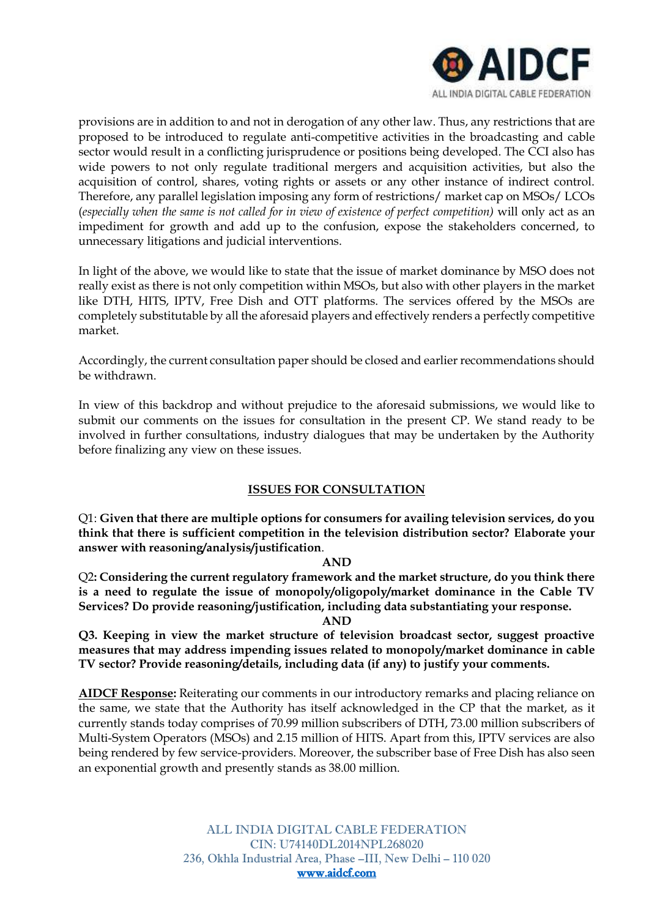

provisions are in addition to and not in derogation of any other law. Thus, any restrictions that are proposed to be introduced to regulate anti-competitive activities in the broadcasting and cable sector would result in a conflicting jurisprudence or positions being developed. The CCI also has wide powers to not only regulate traditional mergers and acquisition activities, but also the acquisition of control, shares, voting rights or assets or any other instance of indirect control. Therefore, any parallel legislation imposing any form of restrictions/ market cap on MSOs/ LCOs (*especially when the same is not called for in view of existence of perfect competition)* will only act as an impediment for growth and add up to the confusion, expose the stakeholders concerned, to unnecessary litigations and judicial interventions.

In light of the above, we would like to state that the issue of market dominance by MSO does not really exist as there is not only competition within MSOs, but also with other players in the market like DTH, HITS, IPTV, Free Dish and OTT platforms. The services offered by the MSOs are completely substitutable by all the aforesaid players and effectively renders a perfectly competitive market.

Accordingly, the current consultation paper should be closed and earlier recommendations should be withdrawn.

In view of this backdrop and without prejudice to the aforesaid submissions, we would like to submit our comments on the issues for consultation in the present CP. We stand ready to be involved in further consultations, industry dialogues that may be undertaken by the Authority before finalizing any view on these issues.

#### **ISSUES FOR CONSULTATION**

Q1: **Given that there are multiple options for consumers for availing television services, do you think that there is sufficient competition in the television distribution sector? Elaborate your answer with reasoning/analysis/justification**.

#### **AND**

Q2**: Considering the current regulatory framework and the market structure, do you think there is a need to regulate the issue of monopoly/oligopoly/market dominance in the Cable TV Services? Do provide reasoning/justification, including data substantiating your response.**

**AND**

**Q3. Keeping in view the market structure of television broadcast sector, suggest proactive measures that may address impending issues related to monopoly/market dominance in cable TV sector? Provide reasoning/details, including data (if any) to justify your comments.**

**AIDCF Response:** Reiterating our comments in our introductory remarks and placing reliance on the same, we state that the Authority has itself acknowledged in the CP that the market, as it currently stands today comprises of 70.99 million subscribers of DTH, 73.00 million subscribers of Multi-System Operators (MSOs) and 2.15 million of HITS. Apart from this, IPTV services are also being rendered by few service-providers. Moreover, the subscriber base of Free Dish has also seen an exponential growth and presently stands as 38.00 million.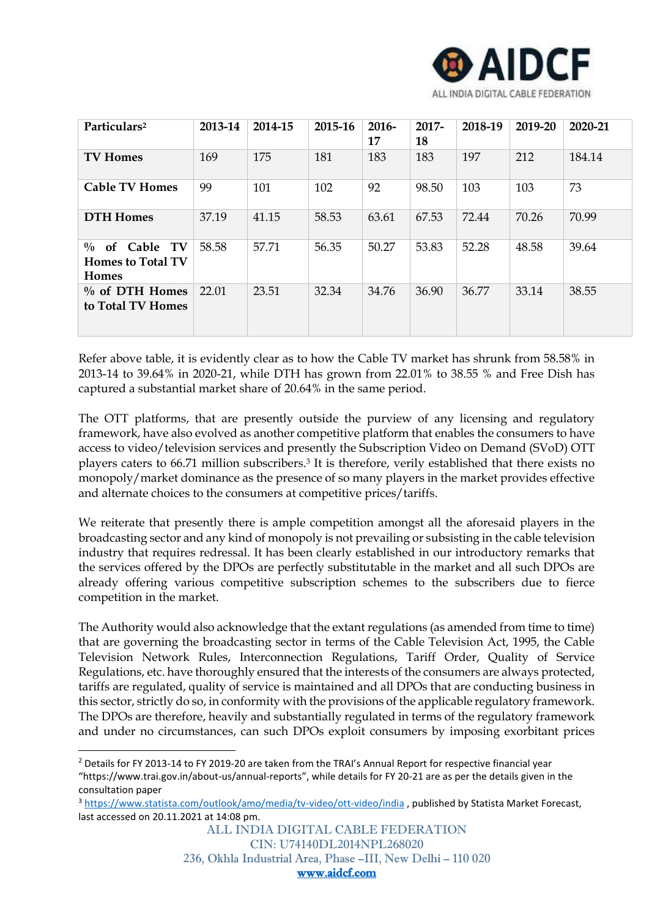

| Particulars <sup>2</sup>                                     | 2013-14 | 2014-15 | 2015-16 | $2016-$<br>17 | $2017 -$<br>18 | 2018-19 | 2019-20 | 2020-21 |
|--------------------------------------------------------------|---------|---------|---------|---------------|----------------|---------|---------|---------|
| <b>TV Homes</b>                                              | 169     | 175     | 181     | 183           | 183            | 197     | 212     | 184.14  |
| <b>Cable TV Homes</b>                                        | 99      | 101     | 102     | 92            | 98.50          | 103     | 103     | 73      |
| <b>DTH Homes</b>                                             | 37.19   | 41.15   | 58.53   | 63.61         | 67.53          | 72.44   | 70.26   | 70.99   |
| $\%$ of Cable TV<br><b>Homes to Total TV</b><br><b>Homes</b> | 58.58   | 57.71   | 56.35   | 50.27         | 53.83          | 52.28   | 48.58   | 39.64   |
| $\%$ of DTH Homes<br>to Total TV Homes                       | 22.01   | 23.51   | 32.34   | 34.76         | 36.90          | 36.77   | 33.14   | 38.55   |

Refer above table, it is evidently clear as to how the Cable TV market has shrunk from 58.58% in 2013-14 to 39.64% in 2020-21, while DTH has grown from 22.01% to 38.55 % and Free Dish has captured a substantial market share of 20.64% in the same period.

The OTT platforms, that are presently outside the purview of any licensing and regulatory framework, have also evolved as another competitive platform that enables the consumers to have access to video/television services and presently the Subscription Video on Demand (SVoD) OTT players caters to 66.71 million subscribers.<sup>3</sup> It is therefore, verily established that there exists no monopoly/market dominance as the presence of so many players in the market provides effective and alternate choices to the consumers at competitive prices/tariffs.

We reiterate that presently there is ample competition amongst all the aforesaid players in the broadcasting sector and any kind of monopoly is not prevailing or subsisting in the cable television industry that requires redressal. It has been clearly established in our introductory remarks that the services offered by the DPOs are perfectly substitutable in the market and all such DPOs are already offering various competitive subscription schemes to the subscribers due to fierce competition in the market.

The Authority would also acknowledge that the extant regulations (as amended from time to time) that are governing the broadcasting sector in terms of the Cable Television Act, 1995, the Cable Television Network Rules, Interconnection Regulations, Tariff Order, Quality of Service Regulations, etc. have thoroughly ensured that the interests of the consumers are always protected, tariffs are regulated, quality of service is maintained and all DPOs that are conducting business in this sector, strictly do so, in conformity with the provisions of the applicable regulatory framework. The DPOs are therefore, heavily and substantially regulated in terms of the regulatory framework and under no circumstances, can such DPOs exploit consumers by imposing exorbitant prices

<sup>2</sup> Details for FY 2013-14 to FY 2019-20 are taken from the TRAI's Annual Report for respective financial year "https://www.trai.gov.in/about-us/annual-reports", while details for FY 20-21 are as per the details given in the consultation paper

<sup>3</sup> <https://www.statista.com/outlook/amo/media/tv-video/ott-video/india> , published by Statista Market Forecast, last accessed on 20.11.2021 at 14:08 pm.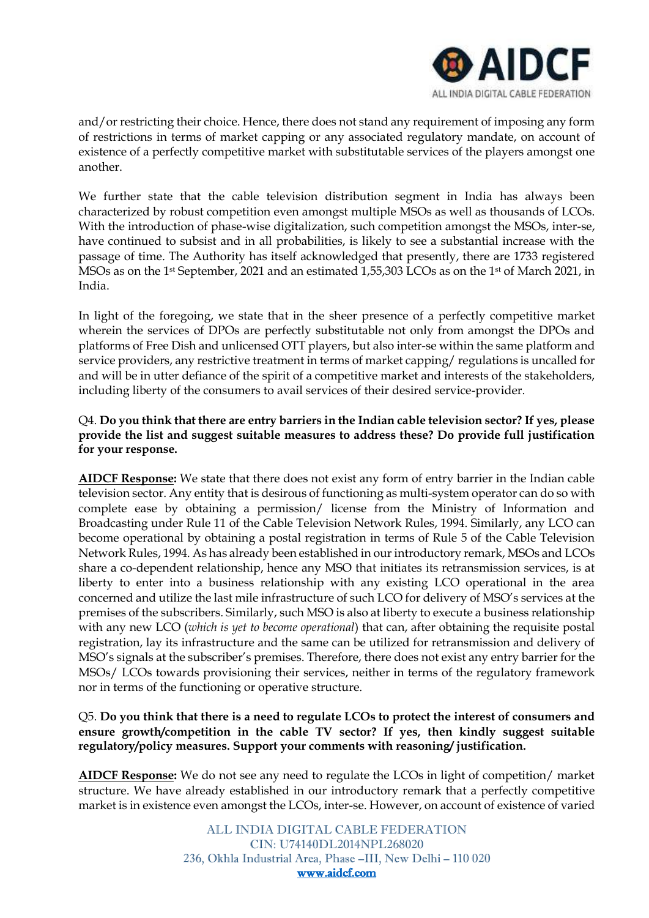

and/or restricting their choice. Hence, there does not stand any requirement of imposing any form of restrictions in terms of market capping or any associated regulatory mandate, on account of existence of a perfectly competitive market with substitutable services of the players amongst one another.

We further state that the cable television distribution segment in India has always been characterized by robust competition even amongst multiple MSOs as well as thousands of LCOs. With the introduction of phase-wise digitalization, such competition amongst the MSOs, inter-se, have continued to subsist and in all probabilities, is likely to see a substantial increase with the passage of time. The Authority has itself acknowledged that presently, there are 1733 registered MSOs as on the 1st September, 2021 and an estimated 1,55,303 LCOs as on the 1st of March 2021, in India.

In light of the foregoing, we state that in the sheer presence of a perfectly competitive market wherein the services of DPOs are perfectly substitutable not only from amongst the DPOs and platforms of Free Dish and unlicensed OTT players, but also inter-se within the same platform and service providers, any restrictive treatment in terms of market capping/ regulations is uncalled for and will be in utter defiance of the spirit of a competitive market and interests of the stakeholders, including liberty of the consumers to avail services of their desired service-provider.

## Q4. **Do you think that there are entry barriers in the Indian cable television sector? If yes, please provide the list and suggest suitable measures to address these? Do provide full justification for your response.**

**AIDCF Response:** We state that there does not exist any form of entry barrier in the Indian cable television sector. Any entity that is desirous of functioning as multi-system operator can do so with complete ease by obtaining a permission/ license from the Ministry of Information and Broadcasting under Rule 11 of the Cable Television Network Rules, 1994. Similarly, any LCO can become operational by obtaining a postal registration in terms of Rule 5 of the Cable Television Network Rules, 1994. As has already been established in our introductory remark, MSOs and LCOs share a co-dependent relationship, hence any MSO that initiates its retransmission services, is at liberty to enter into a business relationship with any existing LCO operational in the area concerned and utilize the last mile infrastructure of such LCO for delivery of MSO's services at the premises of the subscribers. Similarly, such MSO is also at liberty to execute a business relationship with any new LCO (*which is yet to become operational*) that can, after obtaining the requisite postal registration, lay its infrastructure and the same can be utilized for retransmission and delivery of MSO's signals at the subscriber's premises. Therefore, there does not exist any entry barrier for the MSOs/ LCOs towards provisioning their services, neither in terms of the regulatory framework nor in terms of the functioning or operative structure.

# Q5. **Do you think that there is a need to regulate LCOs to protect the interest of consumers and ensure growth/competition in the cable TV sector? If yes, then kindly suggest suitable regulatory/policy measures. Support your comments with reasoning/ justification.**

**AIDCF Response:** We do not see any need to regulate the LCOs in light of competition/ market structure. We have already established in our introductory remark that a perfectly competitive market is in existence even amongst the LCOs, inter-se. However, on account of existence of varied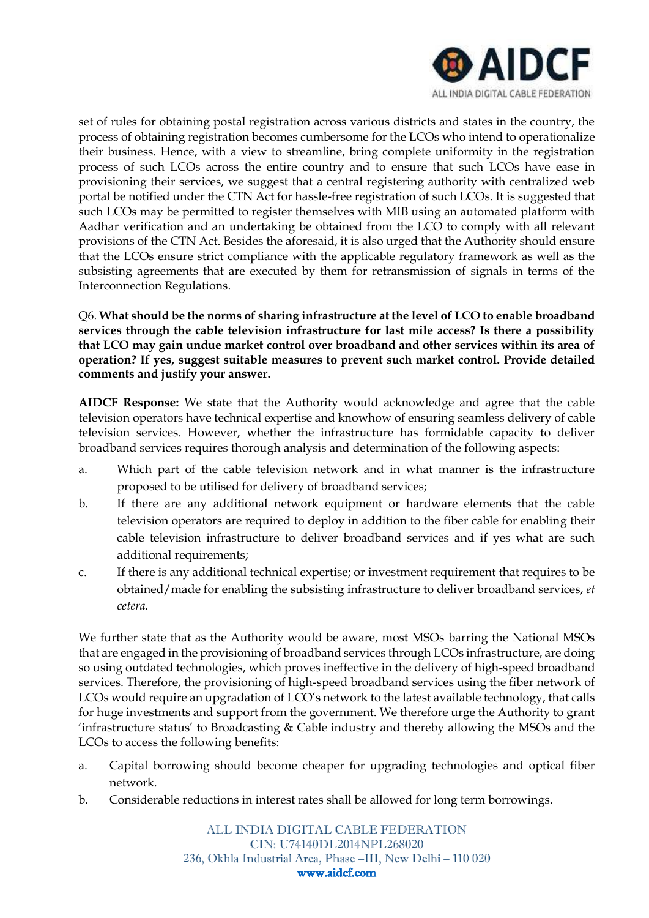

set of rules for obtaining postal registration across various districts and states in the country, the process of obtaining registration becomes cumbersome for the LCOs who intend to operationalize their business. Hence, with a view to streamline, bring complete uniformity in the registration process of such LCOs across the entire country and to ensure that such LCOs have ease in provisioning their services, we suggest that a central registering authority with centralized web portal be notified under the CTN Act for hassle-free registration of such LCOs. It is suggested that such LCOs may be permitted to register themselves with MIB using an automated platform with Aadhar verification and an undertaking be obtained from the LCO to comply with all relevant provisions of the CTN Act. Besides the aforesaid, it is also urged that the Authority should ensure that the LCOs ensure strict compliance with the applicable regulatory framework as well as the subsisting agreements that are executed by them for retransmission of signals in terms of the Interconnection Regulations.

Q6. **What should be the norms of sharing infrastructure at the level of LCO to enable broadband services through the cable television infrastructure for last mile access? Is there a possibility that LCO may gain undue market control over broadband and other services within its area of operation? If yes, suggest suitable measures to prevent such market control. Provide detailed comments and justify your answer.**

**AIDCF Response:** We state that the Authority would acknowledge and agree that the cable television operators have technical expertise and knowhow of ensuring seamless delivery of cable television services. However, whether the infrastructure has formidable capacity to deliver broadband services requires thorough analysis and determination of the following aspects:

- a. Which part of the cable television network and in what manner is the infrastructure proposed to be utilised for delivery of broadband services;
- b. If there are any additional network equipment or hardware elements that the cable television operators are required to deploy in addition to the fiber cable for enabling their cable television infrastructure to deliver broadband services and if yes what are such additional requirements;
- c. If there is any additional technical expertise; or investment requirement that requires to be obtained/made for enabling the subsisting infrastructure to deliver broadband services, *et cetera.*

We further state that as the Authority would be aware, most MSOs barring the National MSOs that are engaged in the provisioning of broadband services through LCOs infrastructure, are doing so using outdated technologies, which proves ineffective in the delivery of high-speed broadband services. Therefore, the provisioning of high-speed broadband services using the fiber network of LCOs would require an upgradation of LCO's network to the latest available technology, that calls for huge investments and support from the government. We therefore urge the Authority to grant 'infrastructure status' to Broadcasting & Cable industry and thereby allowing the MSOs and the LCOs to access the following benefits:

- a. Capital borrowing should become cheaper for upgrading technologies and optical fiber network.
- b. Considerable reductions in interest rates shall be allowed for long term borrowings.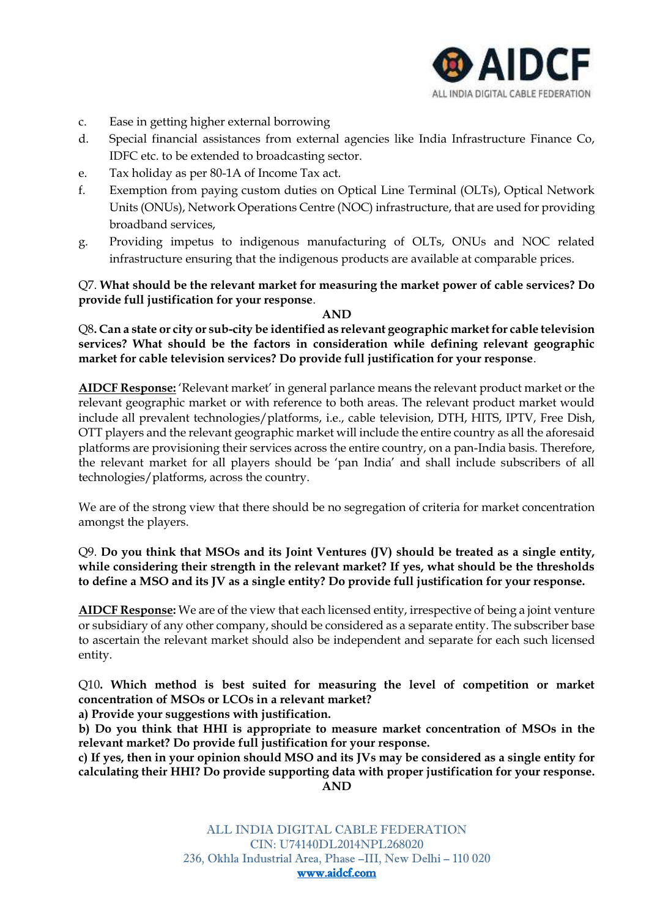

- c. Ease in getting higher external borrowing
- d. Special financial assistances from external agencies like India Infrastructure Finance Co, IDFC etc. to be extended to broadcasting sector.
- e. Tax holiday as per 80-1A of Income Tax act.
- f. Exemption from paying custom duties on Optical Line Terminal (OLTs), Optical Network Units (ONUs), Network Operations Centre (NOC) infrastructure, that are used for providing broadband services,
- g. Providing impetus to indigenous manufacturing of OLTs, ONUs and NOC related infrastructure ensuring that the indigenous products are available at comparable prices.

## Q7. **What should be the relevant market for measuring the market power of cable services? Do provide full justification for your response**.

#### **AND**

Q8**. Can a state or city or sub-city be identified as relevant geographic market for cable television services? What should be the factors in consideration while defining relevant geographic market for cable television services? Do provide full justification for your response**.

**AIDCF Response:** 'Relevant market' in general parlance means the relevant product market or the relevant geographic market or with reference to both areas. The relevant product market would include all prevalent technologies/platforms, i.e., cable television, DTH, HITS, IPTV, Free Dish, OTT players and the relevant geographic market will include the entire country as all the aforesaid platforms are provisioning their services across the entire country, on a pan-India basis. Therefore, the relevant market for all players should be 'pan India' and shall include subscribers of all technologies/platforms, across the country.

We are of the strong view that there should be no segregation of criteria for market concentration amongst the players.

## Q9. **Do you think that MSOs and its Joint Ventures (JV) should be treated as a single entity, while considering their strength in the relevant market? If yes, what should be the thresholds to define a MSO and its JV as a single entity? Do provide full justification for your response.**

**AIDCF Response:** We are of the view that each licensed entity, irrespective of being a joint venture or subsidiary of any other company, should be considered as a separate entity. The subscriber base to ascertain the relevant market should also be independent and separate for each such licensed entity.

Q10**. Which method is best suited for measuring the level of competition or market concentration of MSOs or LCOs in a relevant market?** 

**a) Provide your suggestions with justification.**

**b) Do you think that HHI is appropriate to measure market concentration of MSOs in the relevant market? Do provide full justification for your response.**

**c) If yes, then in your opinion should MSO and its JVs may be considered as a single entity for calculating their HHI? Do provide supporting data with proper justification for your response. AND**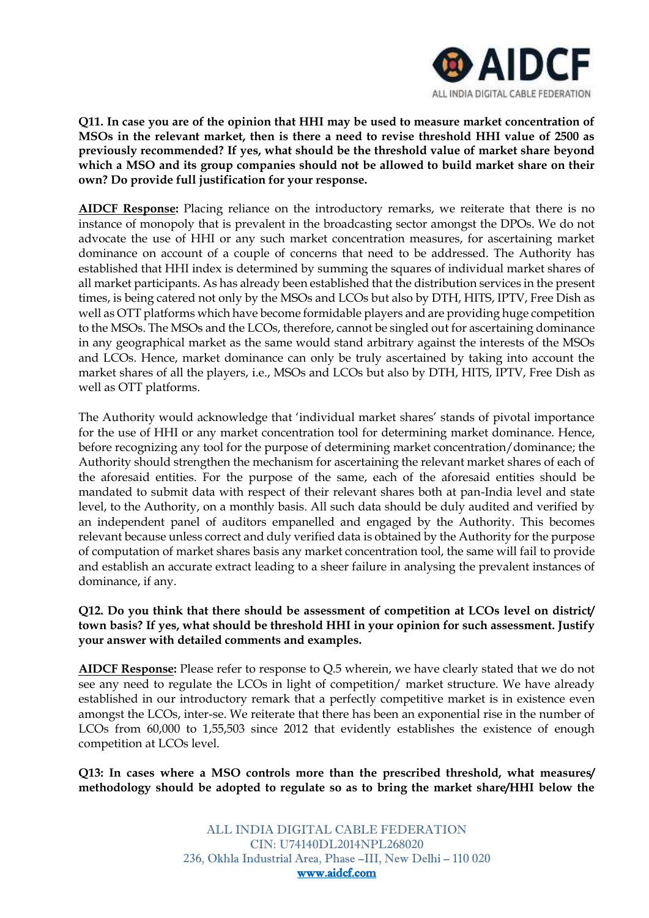

**Q11. In case you are of the opinion that HHI may be used to measure market concentration of MSOs in the relevant market, then is there a need to revise threshold HHI value of 2500 as previously recommended? If yes, what should be the threshold value of market share beyond which a MSO and its group companies should not be allowed to build market share on their own? Do provide full justification for your response.**

**AIDCF Response:** Placing reliance on the introductory remarks, we reiterate that there is no instance of monopoly that is prevalent in the broadcasting sector amongst the DPOs. We do not advocate the use of HHI or any such market concentration measures, for ascertaining market dominance on account of a couple of concerns that need to be addressed. The Authority has established that HHI index is determined by summing the squares of individual market shares of all market participants. As has already been established that the distribution services in the present times, is being catered not only by the MSOs and LCOs but also by DTH, HITS, IPTV, Free Dish as well as OTT platforms which have become formidable players and are providing huge competition to the MSOs. The MSOs and the LCOs, therefore, cannot be singled out for ascertaining dominance in any geographical market as the same would stand arbitrary against the interests of the MSOs and LCOs. Hence, market dominance can only be truly ascertained by taking into account the market shares of all the players, i.e., MSOs and LCOs but also by DTH, HITS, IPTV, Free Dish as well as OTT platforms.

The Authority would acknowledge that 'individual market shares' stands of pivotal importance for the use of HHI or any market concentration tool for determining market dominance. Hence, before recognizing any tool for the purpose of determining market concentration/dominance; the Authority should strengthen the mechanism for ascertaining the relevant market shares of each of the aforesaid entities. For the purpose of the same, each of the aforesaid entities should be mandated to submit data with respect of their relevant shares both at pan-India level and state level, to the Authority, on a monthly basis. All such data should be duly audited and verified by an independent panel of auditors empanelled and engaged by the Authority. This becomes relevant because unless correct and duly verified data is obtained by the Authority for the purpose of computation of market shares basis any market concentration tool, the same will fail to provide and establish an accurate extract leading to a sheer failure in analysing the prevalent instances of dominance, if any.

## **Q12. Do you think that there should be assessment of competition at LCOs level on district/ town basis? If yes, what should be threshold HHI in your opinion for such assessment. Justify your answer with detailed comments and examples.**

**AIDCF Response:** Please refer to response to Q.5 wherein, we have clearly stated that we do not see any need to regulate the LCOs in light of competition/ market structure. We have already established in our introductory remark that a perfectly competitive market is in existence even amongst the LCOs, inter-se. We reiterate that there has been an exponential rise in the number of LCOs from 60,000 to 1,55,503 since 2012 that evidently establishes the existence of enough competition at LCOs level.

**Q13: In cases where a MSO controls more than the prescribed threshold, what measures/ methodology should be adopted to regulate so as to bring the market share/HHI below the**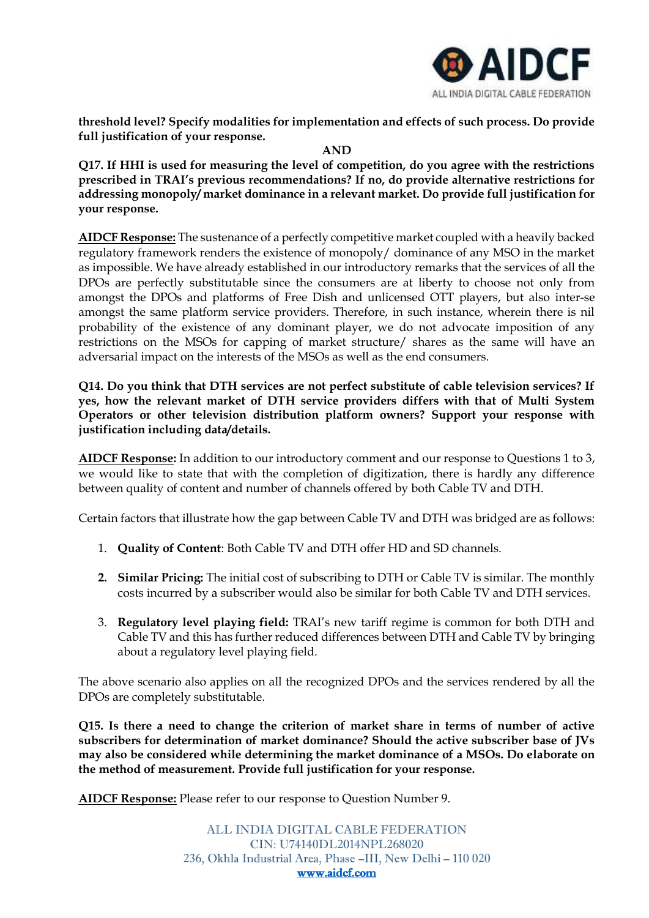

**threshold level? Specify modalities for implementation and effects of such process. Do provide full justification of your response.**

**AND**

**Q17. If HHI is used for measuring the level of competition, do you agree with the restrictions prescribed in TRAI's previous recommendations? If no, do provide alternative restrictions for addressing monopoly/ market dominance in a relevant market. Do provide full justification for your response.**

**AIDCF Response:** The sustenance of a perfectly competitive market coupled with a heavily backed regulatory framework renders the existence of monopoly/ dominance of any MSO in the market as impossible. We have already established in our introductory remarks that the services of all the DPOs are perfectly substitutable since the consumers are at liberty to choose not only from amongst the DPOs and platforms of Free Dish and unlicensed OTT players, but also inter-se amongst the same platform service providers. Therefore, in such instance, wherein there is nil probability of the existence of any dominant player, we do not advocate imposition of any restrictions on the MSOs for capping of market structure/ shares as the same will have an adversarial impact on the interests of the MSOs as well as the end consumers.

**Q14. Do you think that DTH services are not perfect substitute of cable television services? If yes, how the relevant market of DTH service providers differs with that of Multi System Operators or other television distribution platform owners? Support your response with justification including data/details.**

**AIDCF Response:** In addition to our introductory comment and our response to Questions 1 to 3, we would like to state that with the completion of digitization, there is hardly any difference between quality of content and number of channels offered by both Cable TV and DTH.

Certain factors that illustrate how the gap between Cable TV and DTH was bridged are as follows:

- 1. **Quality of Content**: Both Cable TV and DTH offer HD and SD channels.
- **2. Similar Pricing:** The initial cost of subscribing to DTH or Cable TV is similar. The monthly costs incurred by a subscriber would also be similar for both Cable TV and DTH services.
- 3. **Regulatory level playing field:** TRAI's new tariff regime is common for both DTH and Cable TV and this has further reduced differences between DTH and Cable TV by bringing about a regulatory level playing field.

The above scenario also applies on all the recognized DPOs and the services rendered by all the DPOs are completely substitutable.

**Q15. Is there a need to change the criterion of market share in terms of number of active subscribers for determination of market dominance? Should the active subscriber base of JVs may also be considered while determining the market dominance of a MSOs. Do elaborate on the method of measurement. Provide full justification for your response.**

**AIDCF Response:** Please refer to our response to Question Number 9.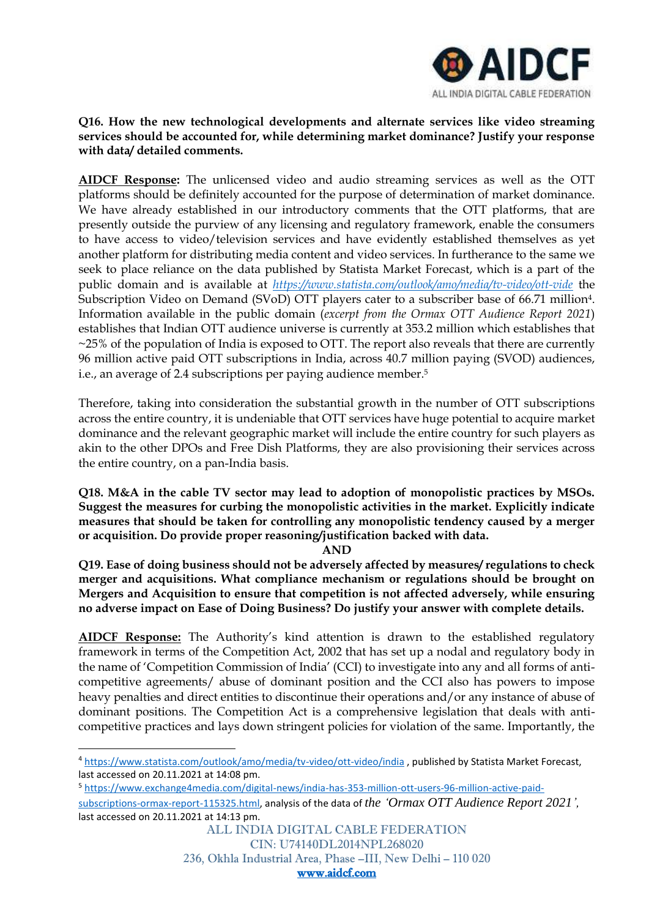

## **Q16. How the new technological developments and alternate services like video streaming services should be accounted for, while determining market dominance? Justify your response with data/ detailed comments.**

**AIDCF Response:** The unlicensed video and audio streaming services as well as the OTT platforms should be definitely accounted for the purpose of determination of market dominance. We have already established in our introductory comments that the OTT platforms, that are presently outside the purview of any licensing and regulatory framework, enable the consumers to have access to video/television services and have evidently established themselves as yet another platform for distributing media content and video services. In furtherance to the same we seek to place reliance on the data published by Statista Market Forecast, which is a part of the public domain and is available at *<https://www.statista.com/outlook/amo/media/tv-video/ott-vide>* the Subscription Video on Demand (SVoD) OTT players cater to a subscriber base of 66.71 million4. Information available in the public domain (*excerpt from the Ormax OTT Audience Report 2021*) establishes that Indian OTT audience universe is currently at 353.2 million which establishes that  $\sim$ 25% of the population of India is exposed to OTT. The report also reveals that there are currently 96 million active paid OTT subscriptions in India, across 40.7 million paying (SVOD) audiences, i.e., an average of 2.4 subscriptions per paying audience member.<sup>5</sup>

Therefore, taking into consideration the substantial growth in the number of OTT subscriptions across the entire country, it is undeniable that OTT services have huge potential to acquire market dominance and the relevant geographic market will include the entire country for such players as akin to the other DPOs and Free Dish Platforms, they are also provisioning their services across the entire country, on a pan-India basis.

**Q18. M&A in the cable TV sector may lead to adoption of monopolistic practices by MSOs. Suggest the measures for curbing the monopolistic activities in the market. Explicitly indicate measures that should be taken for controlling any monopolistic tendency caused by a merger or acquisition. Do provide proper reasoning/justification backed with data.** 

#### **AND**

**Q19. Ease of doing business should not be adversely affected by measures/ regulations to check merger and acquisitions. What compliance mechanism or regulations should be brought on Mergers and Acquisition to ensure that competition is not affected adversely, while ensuring no adverse impact on Ease of Doing Business? Do justify your answer with complete details.**

**AIDCF Response:** The Authority's kind attention is drawn to the established regulatory framework in terms of the Competition Act, 2002 that has set up a nodal and regulatory body in the name of 'Competition Commission of India' (CCI) to investigate into any and all forms of anticompetitive agreements/ abuse of dominant position and the CCI also has powers to impose heavy penalties and direct entities to discontinue their operations and/or any instance of abuse of dominant positions. The Competition Act is a comprehensive legislation that deals with anticompetitive practices and lays down stringent policies for violation of the same. Importantly, the

<sup>4</sup> <https://www.statista.com/outlook/amo/media/tv-video/ott-video/india> , published by Statista Market Forecast, last accessed on 20.11.2021 at 14:08 pm.

<sup>5</sup> [https://www.exchange4media.com/digital-news/india-has-353-million-ott-users-96-million-active-paid](https://www.exchange4media.com/digital-news/india-has-353-million-ott-users-96-million-active-paid-subscriptions-ormax-report-115325.html)[subscriptions-ormax-report-115325.html,](https://www.exchange4media.com/digital-news/india-has-353-million-ott-users-96-million-active-paid-subscriptions-ormax-report-115325.html) analysis of the data of *the 'Ormax OTT Audience Report 2021',*  last accessed on 20.11.2021 at 14:13 pm.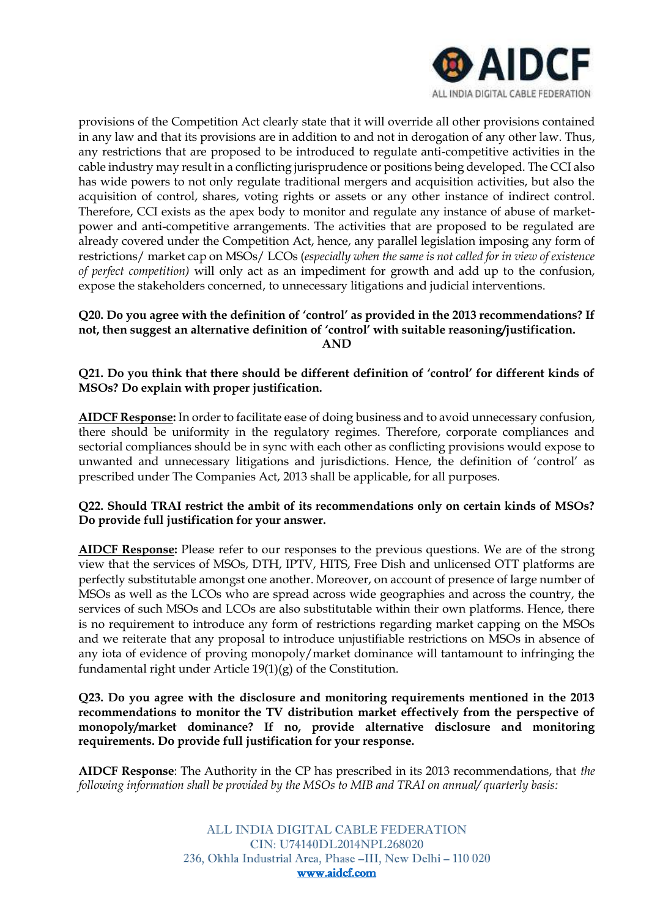

provisions of the Competition Act clearly state that it will override all other provisions contained in any law and that its provisions are in addition to and not in derogation of any other law. Thus, any restrictions that are proposed to be introduced to regulate anti-competitive activities in the cable industry may result in a conflicting jurisprudence or positions being developed. The CCI also has wide powers to not only regulate traditional mergers and acquisition activities, but also the acquisition of control, shares, voting rights or assets or any other instance of indirect control. Therefore, CCI exists as the apex body to monitor and regulate any instance of abuse of marketpower and anti-competitive arrangements. The activities that are proposed to be regulated are already covered under the Competition Act, hence, any parallel legislation imposing any form of restrictions/ market cap on MSOs/ LCOs (*especially when the same is not called for in view of existence of perfect competition)* will only act as an impediment for growth and add up to the confusion, expose the stakeholders concerned, to unnecessary litigations and judicial interventions.

## **Q20. Do you agree with the definition of 'control' as provided in the 2013 recommendations? If not, then suggest an alternative definition of 'control' with suitable reasoning/justification. AND**

## **Q21. Do you think that there should be different definition of 'control' for different kinds of MSOs? Do explain with proper justification.**

**AIDCF Response:** In order to facilitate ease of doing business and to avoid unnecessary confusion, there should be uniformity in the regulatory regimes. Therefore, corporate compliances and sectorial compliances should be in sync with each other as conflicting provisions would expose to unwanted and unnecessary litigations and jurisdictions. Hence, the definition of 'control' as prescribed under The Companies Act, 2013 shall be applicable, for all purposes.

## **Q22. Should TRAI restrict the ambit of its recommendations only on certain kinds of MSOs? Do provide full justification for your answer.**

**AIDCF Response:** Please refer to our responses to the previous questions. We are of the strong view that the services of MSOs, DTH, IPTV, HITS, Free Dish and unlicensed OTT platforms are perfectly substitutable amongst one another. Moreover, on account of presence of large number of MSOs as well as the LCOs who are spread across wide geographies and across the country, the services of such MSOs and LCOs are also substitutable within their own platforms. Hence, there is no requirement to introduce any form of restrictions regarding market capping on the MSOs and we reiterate that any proposal to introduce unjustifiable restrictions on MSOs in absence of any iota of evidence of proving monopoly/market dominance will tantamount to infringing the fundamental right under Article 19(1)(g) of the Constitution.

#### **Q23. Do you agree with the disclosure and monitoring requirements mentioned in the 2013 recommendations to monitor the TV distribution market effectively from the perspective of monopoly/market dominance? If no, provide alternative disclosure and monitoring requirements. Do provide full justification for your response.**

**AIDCF Response**: The Authority in the CP has prescribed in its 2013 recommendations, that *the following information shall be provided by the MSOs to MIB and TRAI on annual/ quarterly basis:*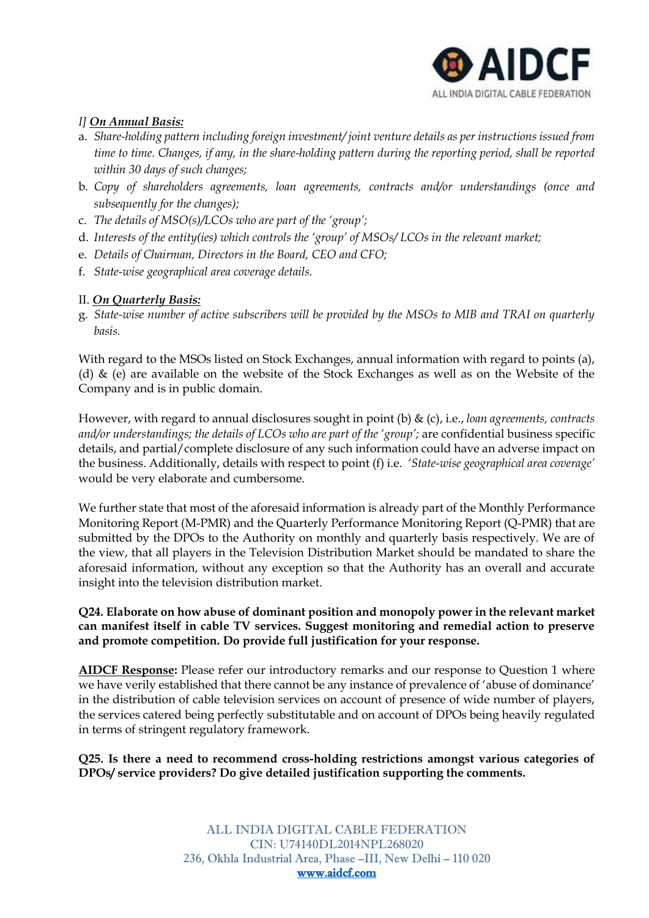

## *I] On Annual Basis:*

- a. *Share-holding pattern including foreign investment/ joint venture details as per instructions issued from time to time. Changes, if any, in the share-holding pattern during the reporting period, shall be reported within 30 days of such changes;*
- b. *Copy of shareholders agreements, loan agreements, contracts and/or understandings (once and subsequently for the changes);*
- c. *The details of MSO(s)/LCOs who are part of the 'group';*
- d. *Interests of the entity(ies) which controls the 'group' of MSOs/ LCOs in the relevant market;*
- e. *Details of Chairman, Directors in the Board, CEO and CFO;*
- f. *State-wise geographical area coverage details.*

## II. *On Quarterly Basis:*

g. *State-wise number of active subscribers will be provided by the MSOs to MIB and TRAI on quarterly basis.* 

With regard to the MSOs listed on Stock Exchanges, annual information with regard to points (a), (d)  $\&$  (e) are available on the website of the Stock Exchanges as well as on the Website of the Company and is in public domain.

However, with regard to annual disclosures sought in point (b) & (c), i.e., *loan agreements, contracts*  and/or understandings; the details of LCOs who are part of the 'group'; are confidential business specific details, and partial/complete disclosure of any such information could have an adverse impact on the business. Additionally, details with respect to point (f) i.e. *'State-wise geographical area coverage'* would be very elaborate and cumbersome.

We further state that most of the aforesaid information is already part of the Monthly Performance Monitoring Report (M-PMR) and the Quarterly Performance Monitoring Report (Q-PMR) that are submitted by the DPOs to the Authority on monthly and quarterly basis respectively. We are of the view, that all players in the Television Distribution Market should be mandated to share the aforesaid information, without any exception so that the Authority has an overall and accurate insight into the television distribution market.

# **Q24. Elaborate on how abuse of dominant position and monopoly power in the relevant market can manifest itself in cable TV services. Suggest monitoring and remedial action to preserve and promote competition. Do provide full justification for your response.**

**AIDCF Response:** Please refer our introductory remarks and our response to Question 1 where we have verily established that there cannot be any instance of prevalence of 'abuse of dominance' in the distribution of cable television services on account of presence of wide number of players, the services catered being perfectly substitutable and on account of DPOs being heavily regulated in terms of stringent regulatory framework.

**Q25. Is there a need to recommend cross-holding restrictions amongst various categories of DPOs/ service providers? Do give detailed justification supporting the comments.**